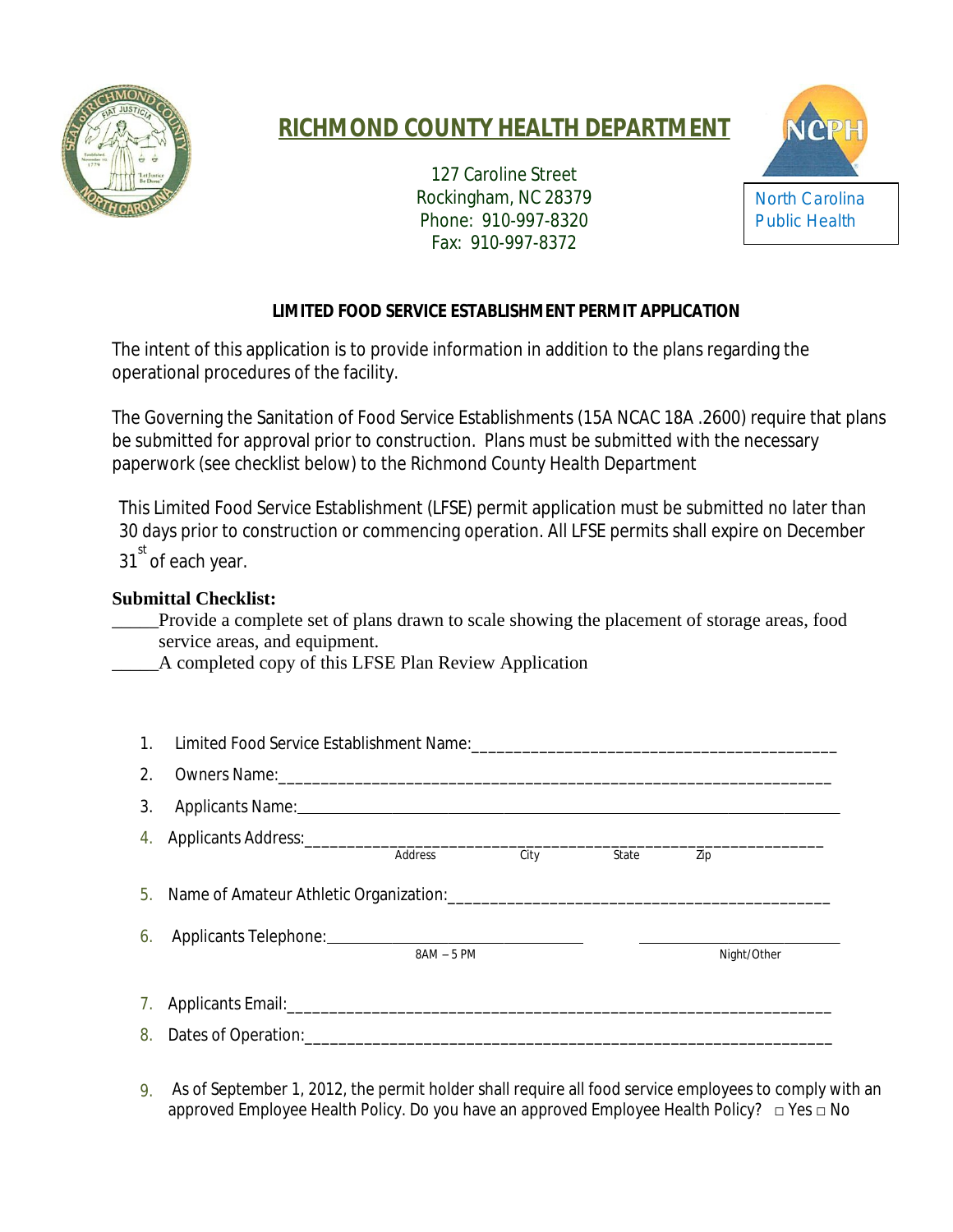

# **RICHMOND COUNTY HEALTH DEPARTMENT**

127 Caroline Street Rockingham, NC 28379 Phone: 910-997-8320 Fax: 910-997-8372



#### **LIMITED FOOD SERVICE ESTABLISHMENT PERMIT APPLICATION**

The intent of this application is to provide information in addition to the plans regarding the operational procedures of the facility.

The Governing the Sanitation of Food Service Establishments (15A NCAC 18A .2600) require that plans be submitted for approval prior to construction. Plans must be submitted with the necessary paperwork (see checklist below) to the Richmond County Health Department

This Limited Food Service Establishment (LFSE) permit application must be submitted no later than 30 days prior to construction or commencing operation. All LFSE permits shall expire on December

31<sup>st</sup> of each year.

#### **Submittal Checklist:**

\_\_\_\_\_Provide a complete set of plans drawn to scale showing the placement of storage areas, food service areas, and equipment.

A completed copy of this LFSE Plan Review Application

| 1. Limited Food Service Establishment Name: The Contract of Service Service Service Service Service Service Service Service Service Service Service Service Service Service Service Service Service Service Service Service Se |             |  |       |                                                                                                                        |  |  |  |  |
|--------------------------------------------------------------------------------------------------------------------------------------------------------------------------------------------------------------------------------|-------------|--|-------|------------------------------------------------------------------------------------------------------------------------|--|--|--|--|
|                                                                                                                                                                                                                                |             |  |       |                                                                                                                        |  |  |  |  |
|                                                                                                                                                                                                                                |             |  |       |                                                                                                                        |  |  |  |  |
|                                                                                                                                                                                                                                |             |  |       |                                                                                                                        |  |  |  |  |
|                                                                                                                                                                                                                                | Address     |  | State | Zip                                                                                                                    |  |  |  |  |
|                                                                                                                                                                                                                                |             |  |       |                                                                                                                        |  |  |  |  |
|                                                                                                                                                                                                                                |             |  |       |                                                                                                                        |  |  |  |  |
|                                                                                                                                                                                                                                | $8AM - 5PM$ |  |       | Night/Other                                                                                                            |  |  |  |  |
|                                                                                                                                                                                                                                |             |  |       |                                                                                                                        |  |  |  |  |
|                                                                                                                                                                                                                                |             |  |       |                                                                                                                        |  |  |  |  |
|                                                                                                                                                                                                                                |             |  |       |                                                                                                                        |  |  |  |  |
|                                                                                                                                                                                                                                |             |  |       | Applicants Name: experience and a series of the series of the series of the series of the series of the series<br>City |  |  |  |  |

9. As of September 1, 2012, the permit holder shall require all food service employees to comply with an approved Employee Health Policy. Do you have an approved Employee Health Policy? □ Yes □ No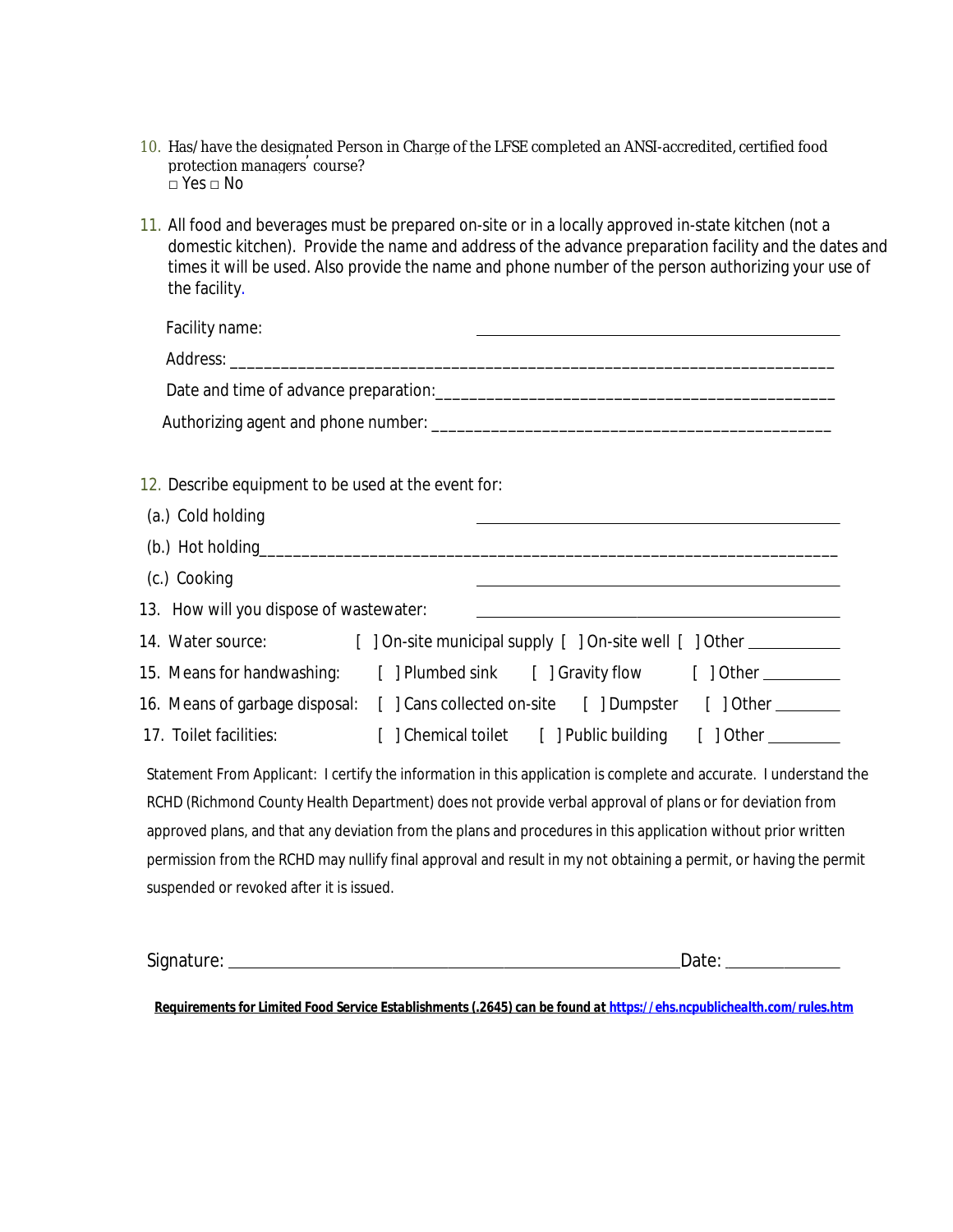- 10. Has/have the designated Person in Charge of the LFSE completed an ANSI-accredited, certified food protection managers' course? □ Yes □ No
- 11. All food and beverages must be prepared on-site or in a locally approved in-state kitchen (not a domestic kitchen). Provide the name and address of the advance preparation facility and the dates and times it will be used. Also provide the name and phone number of the person authorizing your use of the facility.

| Facility name:                                      |                                                                                                                                                                                                                               |
|-----------------------------------------------------|-------------------------------------------------------------------------------------------------------------------------------------------------------------------------------------------------------------------------------|
|                                                     |                                                                                                                                                                                                                               |
|                                                     |                                                                                                                                                                                                                               |
|                                                     |                                                                                                                                                                                                                               |
|                                                     |                                                                                                                                                                                                                               |
| 12. Describe equipment to be used at the event for: |                                                                                                                                                                                                                               |
| (a.) Cold holding                                   |                                                                                                                                                                                                                               |
|                                                     |                                                                                                                                                                                                                               |
| (c.) Cooking                                        | the control of the control of the control of the control of the control of the control of the control of the control of the control of the control of the control of the control of the control of the control of the control |
| 13. How will you dispose of wastewater:             | <u> 1980 - Johann Barn, mars ann an t-Amhain Aonaich an t-Aonaich an t-Aonaich ann an t-Aonaich ann an t-Aonaich</u>                                                                                                          |
| 14. Water source:                                   | [ ] On-site municipal supply [ ] On-site well [ ] Other __________                                                                                                                                                            |
| 15. Means for handwashing:                          | [ ] Plumbed sink [ ] Gravity flow [ ] Other ________                                                                                                                                                                          |
| 16. Means of garbage disposal:                      | [ ] Cans collected on-site [ ] Dumpster [ ] Other _______                                                                                                                                                                     |
| 17. Toilet facilities:                              | [] Chemical toilet [] Public building [] Other _______                                                                                                                                                                        |
|                                                     | Statement From Applicant: I certify the information in this application is complete and accurate. I understand the                                                                                                            |
|                                                     | RCHD (Richmond County Health Department) does not provide verbal approval of plans or for deviation from                                                                                                                      |
|                                                     | approved plans, and that any deviation from the plans and procedures in this application without prior written                                                                                                                |
|                                                     | permission from the RCHD may nullify final approval and result in my not obtaining a permit, or having the permit                                                                                                             |
| suspended or revoked after it is issued.            |                                                                                                                                                                                                                               |
|                                                     |                                                                                                                                                                                                                               |

Signature: Date:

*Requirements for Limited Food Service Establishments (.2645) can be found at <https://ehs.ncpublichealth.com/rules.htm>*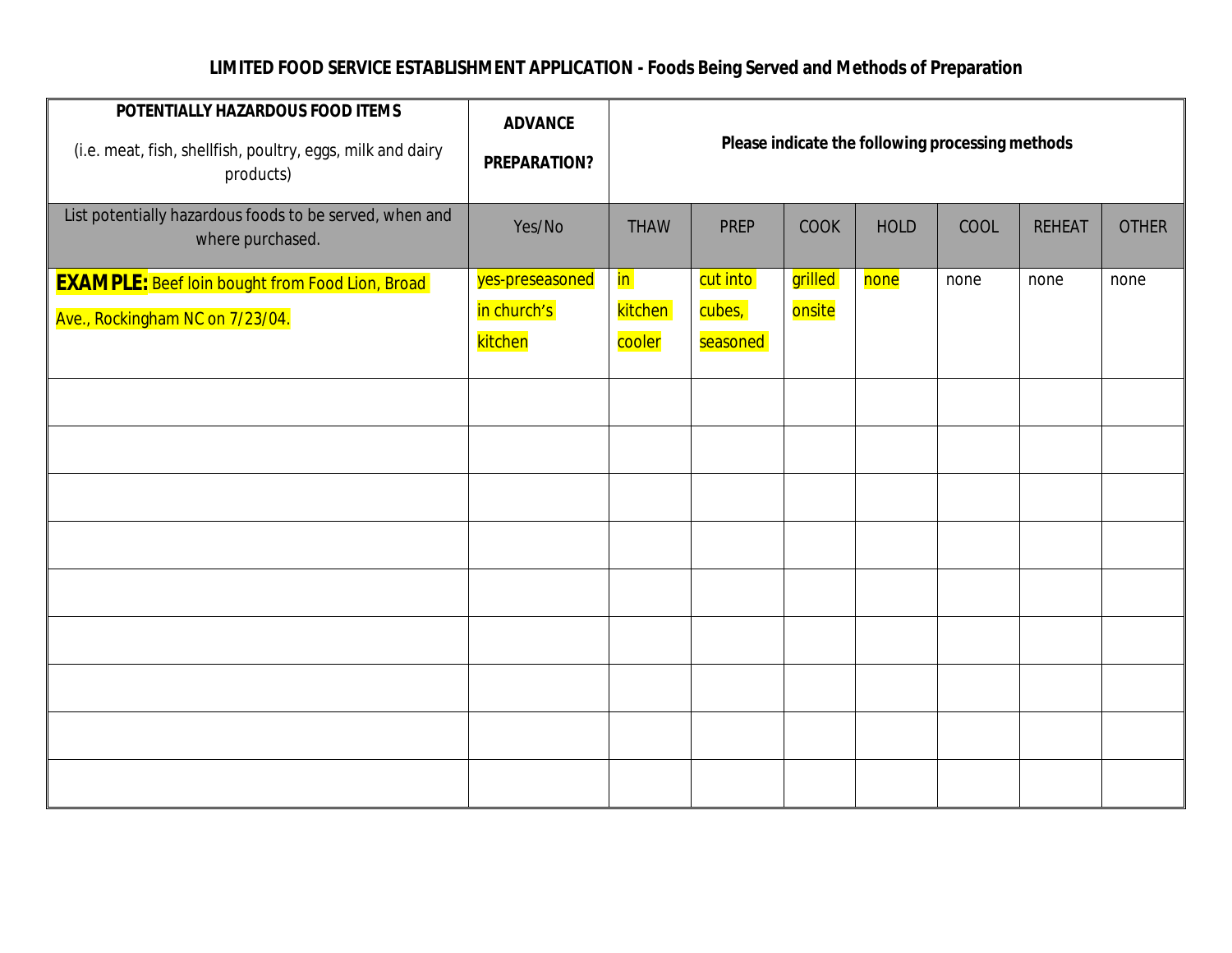## **LIMITED FOOD SERVICE ESTABLISHMENT APPLICATION - Foods Being Served and Methods of Preparation**

| POTENTIALLY HAZARDOUS FOOD ITEMS<br>(i.e. meat, fish, shellfish, poultry, eggs, milk and dairy<br>products) | <b>ADVANCE</b><br>PREPARATION?            | Please indicate the following processing methods |                                |                   |             |      |               |              |  |
|-------------------------------------------------------------------------------------------------------------|-------------------------------------------|--------------------------------------------------|--------------------------------|-------------------|-------------|------|---------------|--------------|--|
| List potentially hazardous foods to be served, when and<br>where purchased.                                 | Yes/No                                    | <b>THAW</b>                                      | <b>PREP</b>                    | <b>COOK</b>       | <b>HOLD</b> | COOL | <b>REHEAT</b> | <b>OTHER</b> |  |
| <b>EXAMPLE:</b> Beef loin bought from Food Lion, Broad<br>Ave., Rockingham NC on 7/23/04.                   | yes-preseasoned<br>in church's<br>kitchen | <mark>in</mark><br>kitchen<br>cooler             | cut into<br>cubes,<br>seasoned | grilled<br>onsite | none        | none | none          | none         |  |
|                                                                                                             |                                           |                                                  |                                |                   |             |      |               |              |  |
|                                                                                                             |                                           |                                                  |                                |                   |             |      |               |              |  |
|                                                                                                             |                                           |                                                  |                                |                   |             |      |               |              |  |
|                                                                                                             |                                           |                                                  |                                |                   |             |      |               |              |  |
|                                                                                                             |                                           |                                                  |                                |                   |             |      |               |              |  |
|                                                                                                             |                                           |                                                  |                                |                   |             |      |               |              |  |
|                                                                                                             |                                           |                                                  |                                |                   |             |      |               |              |  |
|                                                                                                             |                                           |                                                  |                                |                   |             |      |               |              |  |
|                                                                                                             |                                           |                                                  |                                |                   |             |      |               |              |  |